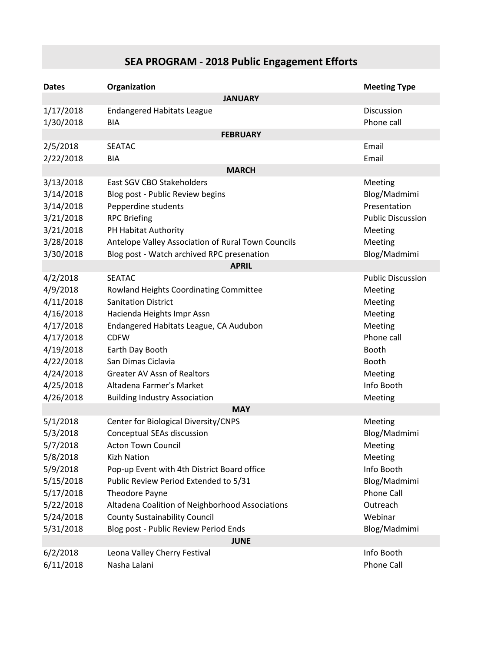## **SEA PROGRAM - 2018 Public Engagement Efforts**

| <b>Dates</b>                                           | Organization                                                               | <b>Meeting Type</b>      |  |
|--------------------------------------------------------|----------------------------------------------------------------------------|--------------------------|--|
| <b>JANUARY</b>                                         |                                                                            |                          |  |
| 1/17/2018                                              | <b>Endangered Habitats League</b>                                          | Discussion               |  |
| 1/30/2018                                              | <b>BIA</b>                                                                 | Phone call               |  |
|                                                        | <b>FEBRUARY</b>                                                            |                          |  |
| 2/5/2018                                               | <b>SEATAC</b>                                                              | Email                    |  |
| 2/22/2018                                              | <b>BIA</b>                                                                 | Email                    |  |
| <b>MARCH</b>                                           |                                                                            |                          |  |
| 3/13/2018                                              | East SGV CBO Stakeholders                                                  | Meeting                  |  |
| 3/14/2018                                              | Blog post - Public Review begins                                           | Blog/Madmimi             |  |
| 3/14/2018                                              | Pepperdine students                                                        | Presentation             |  |
| 3/21/2018                                              | <b>RPC Briefing</b>                                                        | <b>Public Discussion</b> |  |
| 3/21/2018<br>3/28/2018                                 | PH Habitat Authority<br>Antelope Valley Association of Rural Town Councils | Meeting<br>Meeting       |  |
| 3/30/2018                                              | Blog post - Watch archived RPC presenation                                 | Blog/Madmimi             |  |
|                                                        | <b>APRIL</b>                                                               |                          |  |
| 4/2/2018                                               | <b>SEATAC</b>                                                              | <b>Public Discussion</b> |  |
| 4/9/2018                                               | Rowland Heights Coordinating Committee                                     | Meeting                  |  |
| 4/11/2018                                              | <b>Sanitation District</b>                                                 | Meeting                  |  |
| 4/16/2018                                              | Hacienda Heights Impr Assn                                                 | Meeting                  |  |
| 4/17/2018                                              | Endangered Habitats League, CA Audubon                                     | Meeting                  |  |
| 4/17/2018                                              | <b>CDFW</b>                                                                | Phone call               |  |
| 4/19/2018                                              | Earth Day Booth                                                            | Booth                    |  |
| 4/22/2018                                              | San Dimas Ciclavia                                                         | Booth                    |  |
| 4/24/2018                                              | <b>Greater AV Assn of Realtors</b>                                         | Meeting                  |  |
| 4/25/2018                                              | Altadena Farmer's Market                                                   | Info Booth               |  |
| 4/26/2018                                              | <b>Building Industry Association</b>                                       | Meeting                  |  |
| <b>MAY</b>                                             |                                                                            |                          |  |
| 5/1/2018                                               | Center for Biological Diversity/CNPS                                       | Meeting                  |  |
| 5/3/2018                                               | Conceptual SEAs discussion                                                 | Blog/Madmimi             |  |
| 5/7/2018                                               | <b>Acton Town Council</b>                                                  | Meeting                  |  |
| 5/8/2018                                               | <b>Kizh Nation</b>                                                         | Meeting                  |  |
| 5/9/2018                                               | Pop-up Event with 4th District Board office                                | Info Booth               |  |
| 5/15/2018                                              | Public Review Period Extended to 5/31                                      | Blog/Madmimi             |  |
| 5/17/2018                                              | Theodore Payne                                                             | Phone Call               |  |
| 5/22/2018                                              | Altadena Coalition of Neighborhood Associations                            | Outreach                 |  |
| 5/24/2018                                              | <b>County Sustainability Council</b>                                       | Webinar                  |  |
| 5/31/2018                                              | Blog post - Public Review Period Ends<br><b>JUNE</b>                       | Blog/Madmimi             |  |
| 6/2/2018<br>Info Booth<br>Leona Valley Cherry Festival |                                                                            |                          |  |
| 6/11/2018                                              | Nasha Lalani                                                               | Phone Call               |  |
|                                                        |                                                                            |                          |  |